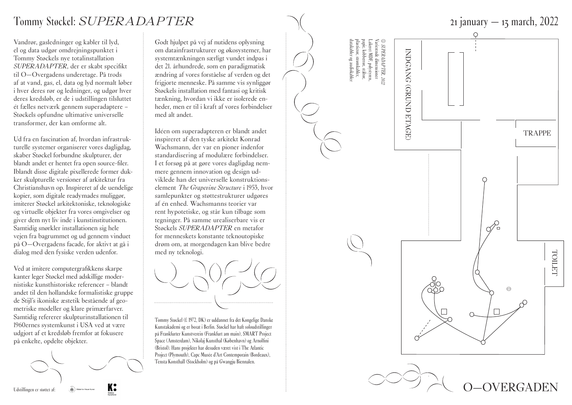

Vandrør, gasledninger og kabler til lyd, el og data udgør omdrejningspunktet i Tommy Støckels nye totalinstallation *SUPERADAPTER*, der er skabt specifikt til O—Overgadens underetage. På trods af at vand, gas, el, data og lyd normalt løber i hver deres rør og ledninger, og udgør hver deres kredsløb, er de i udstillingen tilsluttet ét fælles netværk gennem superadaptere – Støckels opfundne ultimative universelle transformer, der kan omforme alt.

Ud fra en fascination af, hvordan infrastruk turelle systemer organiserer vores dagligdag, skaber Støckel forbundne skulpturer, der blandt andet er hentet fra open source-filer. Iblandt disse digitale pixellerede former dukker skulpturelle versioner af arkitektur fra Christianshavn op. Inspireret af de uendelige kopier, som digitale readymades muliggør, imiterer Støckel arkitektoniske, teknologiske og virtuelle objekter fra vores omgivelser og giver dem nyt liv inde i kunstinstitutionen. Samtidig snørkler installationen sig hele vejen fra bagrummet og ud gennem vinduet på O—Overgadens facade, for aktivt at gå i dialog med den fysiske verden udenfor.

Ved at imitere computergrafikkens skarpe kanter leger Støckel med adskillige modernistiske kunsthistoriske referencer – blandt andet til den hollandske formalistiske gruppe de Stijl's ikoniske æstetik bestående af geo metriske modeller og klare primærfarver. Samtidig refererer skulpturinstallationen til 1960ernes systemkunst i USA ved at være udgjort af et kredsløb fremfor at fokusere på enkelte, opdelte objekter.



Godt hjulpet på vej af nutidens oplysning om datainfrastrukturer og økosystemer, har systemtænkningen særligt vundet indpas i det 21. århundrede, som en paradigmatisk ændring af vores forståelse af verden og det frigjorte menneske. På samme vis synliggør Støckels installation med fantasi og kritisk tænkning, hvordan vi ikke er isolerede en heder, men er til i kraft af vores forbindelser med alt andet.

Idéen om superadapteren er blandt andet inspireret af den tyske arkitekt Konrad Wachsmann, der var en pioner indenfor standardisering af modulære forbindelser. I et forsøg på at gøre vores dagligdag nem mere gennem innovation og design ud viklede han det universelle konstruktionselement *The Grapevine Structure* i 1953, hvor samlepunkter og støttestrukturer udgøres af én enhed. Wachsmanns teorier var rent hypotetiske, og står kun tilbage som tegninger. På samme urealiserbare vis er Støckels *SUPERADAPTER* en metafor for menneskets konstante teknoutopiske drøm om, at morgendagen kan blive bedre med ny teknologi.



Tommy Støckel (f. 1972, DK) er uddannet fra det Kongelige Danske Kunstakademi og er bosat i Berlin. Støckel har haft soloudstillinger på Frankfurter Kunstverein (Frankfurt am main), SMART Project Space (Amsterdam), Nikolaj Kunsthal (København) og Arnolfini (Bristol). Hans projekter har desuden været vist i The Atlantic Project (Plymouth), Capc Musée d'Art Contemporain (Bordeaux), Tensta Konsthall (Stockholm) og på Gwangju Biennalen.